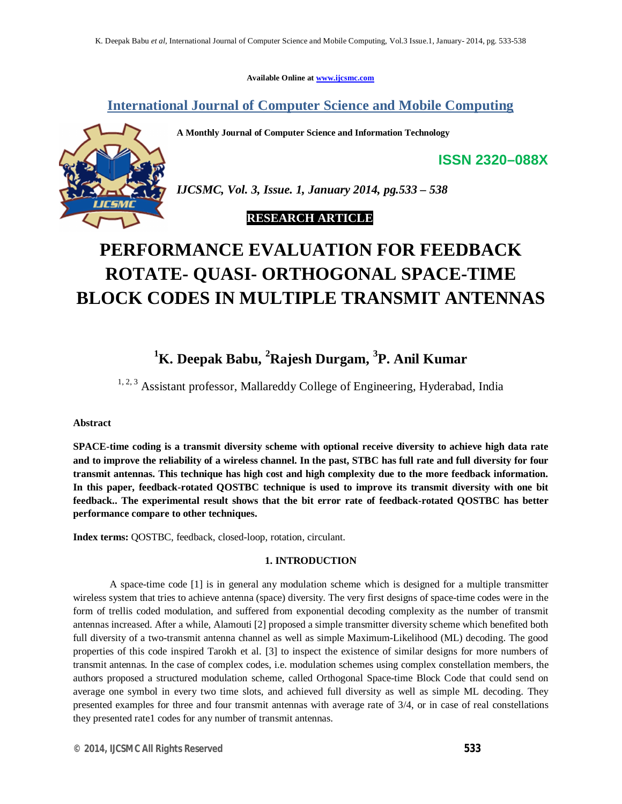**Available Online at www.ijcsmc.com**

**International Journal of Computer Science and Mobile Computing**

**A Monthly Journal of Computer Science and Information Technology**



*IJCSMC, Vol. 3, Issue. 1, January 2014, pg.533 – 538*

### **RESEARCH ARTICLE**

# **PERFORMANCE EVALUATION FOR FEEDBACK ROTATE- QUASI- ORTHOGONAL SPACE-TIME BLOCK CODES IN MULTIPLE TRANSMIT ANTENNAS**

## **<sup>1</sup>K. Deepak Babu, <sup>2</sup>Rajesh Durgam, 3 P. Anil Kumar**

<sup>1, 2, 3</sup> Assistant professor, Mallareddy College of Engineering, Hyderabad, India

#### **Abstract**

**SPACE-time coding is a transmit diversity scheme with optional receive diversity to achieve high data rate and to improve the reliability of a wireless channel. In the past, STBC has full rate and full diversity for four transmit antennas. This technique has high cost and high complexity due to the more feedback information. In this paper, feedback-rotated QOSTBC technique is used to improve its transmit diversity with one bit feedback.. The experimental result shows that the bit error rate of feedback-rotated QOSTBC has better performance compare to other techniques.**

**Index terms:** QOSTBC, feedback, closed-loop, rotation, circulant.

#### **1. INTRODUCTION**

A space-time code [1] is in general any modulation scheme which is designed for a multiple transmitter wireless system that tries to achieve antenna (space) diversity. The very first designs of space-time codes were in the form of trellis coded modulation, and suffered from exponential decoding complexity as the number of transmit antennas increased. After a while, Alamouti [2] proposed a simple transmitter diversity scheme which benefited both full diversity of a two-transmit antenna channel as well as simple Maximum-Likelihood (ML) decoding. The good properties of this code inspired Tarokh et al. [3] to inspect the existence of similar designs for more numbers of transmit antennas. In the case of complex codes, i.e. modulation schemes using complex constellation members, the authors proposed a structured modulation scheme, called Orthogonal Space-time Block Code that could send on average one symbol in every two time slots, and achieved full diversity as well as simple ML decoding. They presented examples for three and four transmit antennas with average rate of 3/4, or in case of real constellations they presented rate1 codes for any number of transmit antennas.

**ISSN 2320–088X**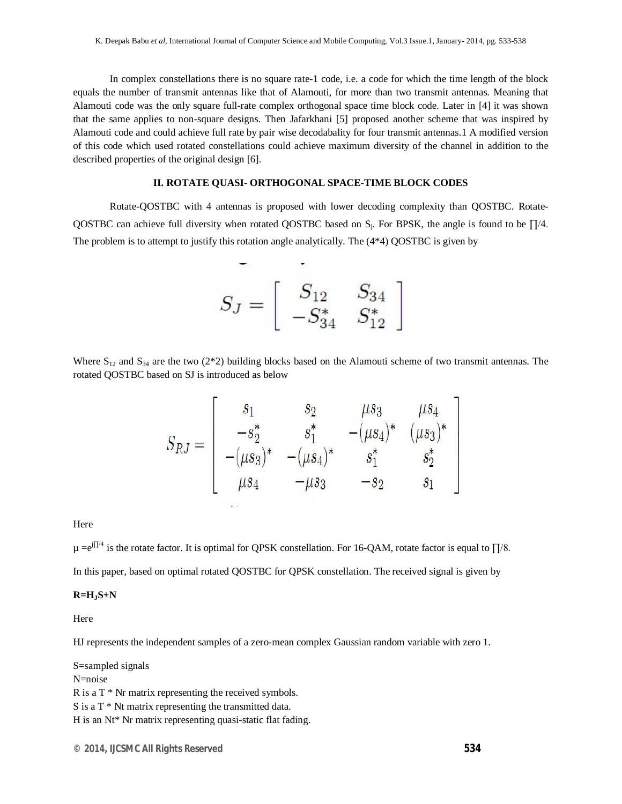In complex constellations there is no square rate-1 code, i.e. a code for which the time length of the block equals the number of transmit antennas like that of Alamouti, for more than two transmit antennas. Meaning that Alamouti code was the only square full-rate complex orthogonal space time block code. Later in [4] it was shown that the same applies to non-square designs. Then Jafarkhani [5] proposed another scheme that was inspired by Alamouti code and could achieve full rate by pair wise decodabality for four transmit antennas.1 A modified version of this code which used rotated constellations could achieve maximum diversity of the channel in addition to the described properties of the original design [6].

#### **II. ROTATE QUASI- ORTHOGONAL SPACE-TIME BLOCK CODES**

Rotate-QOSTBC with 4 antennas is proposed with lower decoding complexity than QOSTBC. Rotate-QOSTBC can achieve full diversity when rotated QOSTBC based on  $S_j$ . For BPSK, the angle is found to be  $\prod/4$ . The problem is to attempt to justify this rotation angle analytically. The (4\*4) QOSTBC is given by

$$
S_J = \left[ \begin{array}{cc} S_{12} & S_{34} \\ -S_{34}^* & S_{12}^* \end{array} \right]
$$

Where  $S_{12}$  and  $S_{34}$  are the two (2\*2) building blocks based on the Alamouti scheme of two transmit antennas. The rotated QOSTBC based on SJ is introduced as below

$$
S_{RJ} = \begin{bmatrix} s_1 & s_2 & \mu s_3 & \mu s_4 \\ -s_2^* & s_1^* & -(\mu s_4)^* & (\mu s_3)^* \\ -(\mu s_3)^* & -(\mu s_4)^* & s_1^* & s_2^* \\ \mu s_4 & -\mu s_3 & -s_2 & s_1 \end{bmatrix}
$$

Here

 $\mu = e^{j\pi/4}$  is the rotate factor. It is optimal for QPSK constellation. For 16-QAM, rotate factor is equal to  $\pi/8$ .

In this paper, based on optimal rotated QOSTBC for QPSK constellation. The received signal is given by

#### $R=H$ **<sub>J</sub>S+N**

Here

HJ represents the independent samples of a zero-mean complex Gaussian random variable with zero 1.

S=sampled signals N=noise R is a T \* Nr matrix representing the received symbols. S is a T \* Nt matrix representing the transmitted data. H is an Nt\* Nr matrix representing quasi-static flat fading.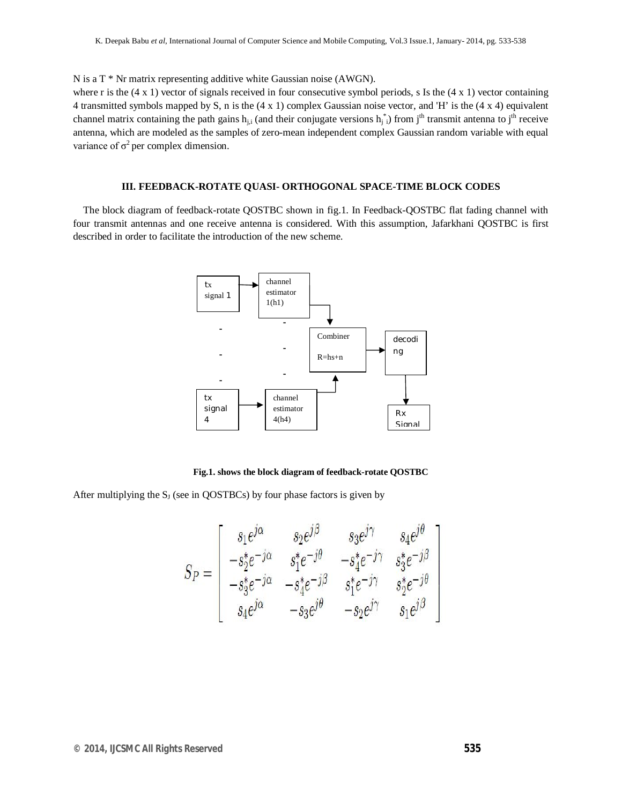N is a T \* Nr matrix representing additive white Gaussian noise (AWGN).

where r is the  $(4 \times 1)$  vector of signals received in four consecutive symbol periods, s Is the  $(4 \times 1)$  vector containing 4 transmitted symbols mapped by S, n is the (4 x 1) complex Gaussian noise vector, and 'H' is the (4 x 4) equivalent channel matrix containing the path gains  $h_{j,i}$  (and their conjugate versions  $h_{j,i}^*$ ) from j<sup>th</sup> transmit antenna to j<sup>th</sup> receive antenna, which are modeled as the samples of zero-mean independent complex Gaussian random variable with equal variance of  $\sigma^2$  per complex dimension.

#### **III. FEEDBACK-ROTATE QUASI- ORTHOGONAL SPACE-TIME BLOCK CODES**

 The block diagram of feedback-rotate QOSTBC shown in fig.1. In Feedback-QOSTBC flat fading channel with four transmit antennas and one receive antenna is considered. With this assumption, Jafarkhani QOSTBC is first described in order to facilitate the introduction of the new scheme.



**Fig.1. shows the block diagram of feedback-rotate QOSTBC**

After multiplying the  $S_J$  (see in QOSTBCs) by four phase factors is given by

$$
S_P = \begin{bmatrix} s_1 e^{j\alpha} & s_2 e^{j\beta} & s_3 e^{j\gamma} & s_4 e^{j\theta} \\ -s_2^* e^{-j\alpha} & s_1^* e^{-j\theta} & -s_4^* e^{-j\gamma} & s_3^* e^{-j\beta} \\ -s_3^* e^{-j\alpha} & -s_4^* e^{-j\beta} & s_1^* e^{-j\gamma} & s_2^* e^{-j\theta} \\ s_4 e^{j\alpha} & -s_3 e^{j\theta} & -s_2 e^{j\gamma} & s_1 e^{j\beta} \end{bmatrix}
$$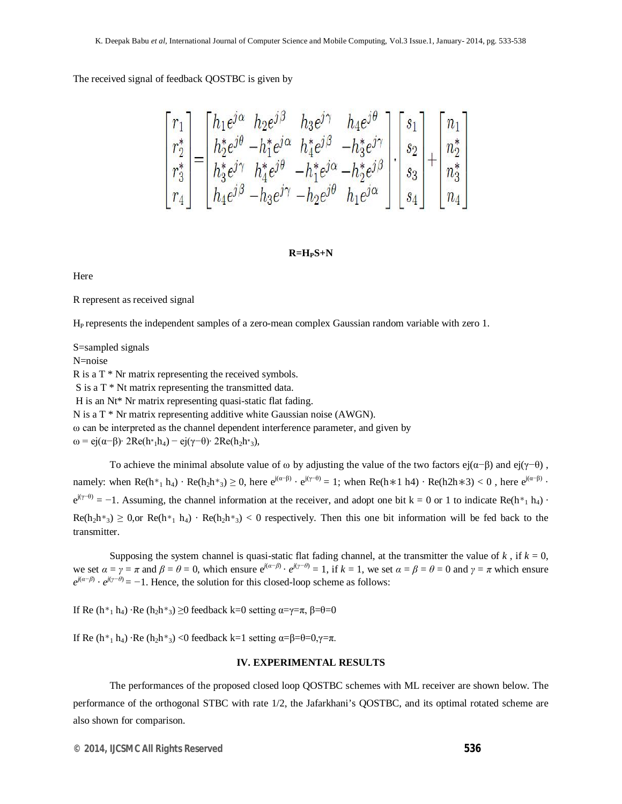The received signal of feedback QOSTBC is given by

$$
\begin{bmatrix} r_1 \\ r_2^* \\ r_3^* \\ r_4 \end{bmatrix} = \begin{bmatrix} h_1 e^{j\alpha} & h_2 e^{j\beta} & h_3 e^{j\gamma} & h_4 e^{j\theta} \\ h_2^* e^{j\theta} - h_1^* e^{j\alpha} & h_4^* e^{j\beta} & -h_3^* e^{j\gamma} \\ h_3^* e^{j\gamma} & h_4^* e^{j\theta} & -h_1^* e^{j\alpha} - h_2^* e^{j\beta} \\ h_4 e^{j\beta} - h_3 e^{j\gamma} & -h_2 e^{j\theta} & h_1 e^{j\alpha} \end{bmatrix} \begin{bmatrix} s_1 \\ s_2 \\ s_3 \\ s_4 \end{bmatrix} + \begin{bmatrix} n_1 \\ n_2^* \\ n_3^* \\ n_4 \end{bmatrix}
$$

#### **R=HPS+N**

Here

R represent as received signal

HP represents the independent samples of a zero-mean complex Gaussian random variable with zero 1.

S=sampled signals N=noise R is a  $T^*$  Nr matrix representing the received symbols. S is a T \* Nt matrix representing the transmitted data. H is an Nt\* Nr matrix representing quasi-static flat fading. N is a T \* Nr matrix representing additive white Gaussian noise (AWGN). ω can be interpreted as the channel dependent interference parameter, and given by  $ω = ej(α-β)$  · 2Re(h<sub>\*1</sub>h<sub>4</sub>) – ej(γ-θ) · 2Re(h<sub>2</sub>h<sub>\*3</sub>),

To achieve the minimal absolute value of  $\omega$  by adjusting the value of the two factors ej( $\alpha-\beta$ ) and ej( $\gamma-\theta$ ), namely: when  $\text{Re}(h*_1 h_4) \cdot \text{Re}(h_2 h*_3) \ge 0$ , here  $e^{j(\alpha-\beta)} \cdot e^{j(\gamma-\theta)} = 1$ ; when  $\text{Re}(h \times 1 h4) \cdot \text{Re}(h2h \times 3) < 0$ , here  $e^{j(\alpha-\beta)} \cdot$  $e^{i(\gamma-\theta)} = -1$ . Assuming, the channel information at the receiver, and adopt one bit k = 0 or 1 to indicate Re(h<sup>\*</sup><sub>1</sub> h<sub>4</sub>) ·  $Re(h_2h*_3) \geq 0$ ,or  $Re(h*_1 h_4) \cdot Re(h_2h*_3) < 0$  respectively. Then this one bit information will be fed back to the transmitter.

Supposing the system channel is quasi-static flat fading channel, at the transmitter the value of  $k$ , if  $k = 0$ , we set  $\alpha = \gamma = \pi$  and  $\beta = \theta = 0$ , which ensure  $e^{i(\alpha - \beta)} \cdot e^{i(\gamma - \theta)} = 1$ , if  $k = 1$ , we set  $\alpha = \beta = \theta = 0$  and  $\gamma = \pi$  which ensure  $e^{j(a-\beta)} \cdot e^{j(\gamma-\theta)} = -1$ . Hence, the solution for this closed-loop scheme as follows:

If Re  $(h*_1 h_4)$  ·Re  $(h_2 h*_3) \ge 0$  feedback k=0 setting  $\alpha = \gamma = \pi$ ,  $\beta = \theta = 0$ 

If Re  $(h*_1 h_4)$  ·Re  $(h_2 h*_3)$  <0 feedback k=1 setting  $\alpha = \beta = 0, \gamma = \pi$ .

#### **IV. EXPERIMENTAL RESULTS**

The performances of the proposed closed loop QOSTBC schemes with ML receiver are shown below. The performance of the orthogonal STBC with rate 1/2, the Jafarkhani's QOSTBC, and its optimal rotated scheme are also shown for comparison.

*© 2014, IJCSMC All Rights Reserved 536*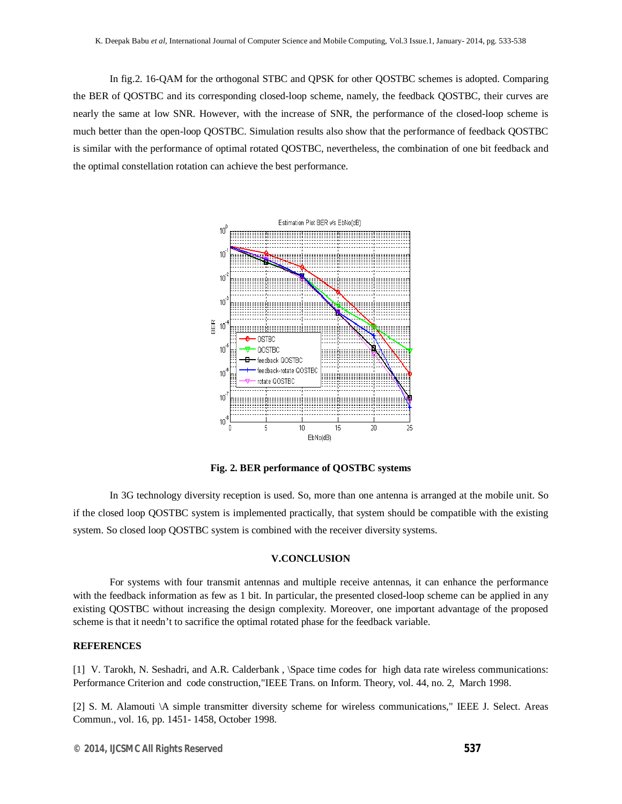In fig.2. 16-QAM for the orthogonal STBC and QPSK for other QOSTBC schemes is adopted. Comparing the BER of QOSTBC and its corresponding closed-loop scheme, namely, the feedback QOSTBC, their curves are nearly the same at low SNR. However, with the increase of SNR, the performance of the closed-loop scheme is much better than the open-loop QOSTBC. Simulation results also show that the performance of feedback QOSTBC is similar with the performance of optimal rotated QOSTBC, nevertheless, the combination of one bit feedback and the optimal constellation rotation can achieve the best performance.



**Fig. 2. BER performance of QOSTBC systems**

In 3G technology diversity reception is used. So, more than one antenna is arranged at the mobile unit. So if the closed loop QOSTBC system is implemented practically, that system should be compatible with the existing system. So closed loop QOSTBC system is combined with the receiver diversity systems.

#### **V.CONCLUSION**

For systems with four transmit antennas and multiple receive antennas, it can enhance the performance with the feedback information as few as 1 bit. In particular, the presented closed-loop scheme can be applied in any existing QOSTBC without increasing the design complexity. Moreover, one important advantage of the proposed scheme is that it needn't to sacrifice the optimal rotated phase for the feedback variable.

#### **REFERENCES**

[1] V. Tarokh, N. Seshadri, and A.R. Calderbank , \Space time codes for high data rate wireless communications: Performance Criterion and code construction,"IEEE Trans. on Inform. Theory, vol. 44, no. 2, March 1998.

[2] S. M. Alamouti \A simple transmitter diversity scheme for wireless communications," IEEE J. Select. Areas Commun., vol. 16, pp. 1451- 1458, October 1998.